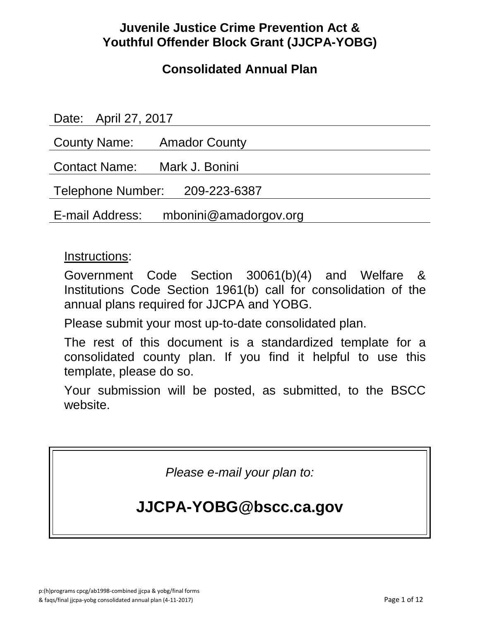## **Juvenile Justice Crime Prevention Act & Youthful Offender Block Grant (JJCPA-YOBG)**

## **Consolidated Annual Plan**

Date: April 27, 2017 County Name: Amador County Contact Name: Mark J. Bonini Telephone Number: 209-223-6387 E-mail Address: mbonini@amadorgov.org

### Instructions:

Government Code Section 30061(b)(4) and Welfare & Institutions Code Section 1961(b) call for consolidation of the annual plans required for JJCPA and YOBG.

Please submit your most up-to-date consolidated plan.

The rest of this document is a standardized template for a consolidated county plan. If you find it helpful to use this template, please do so.

Your submission will be posted, as submitted, to the BSCC website.

*Please e-mail your plan to:*

# **JJCPA-YOBG@bscc.ca.gov**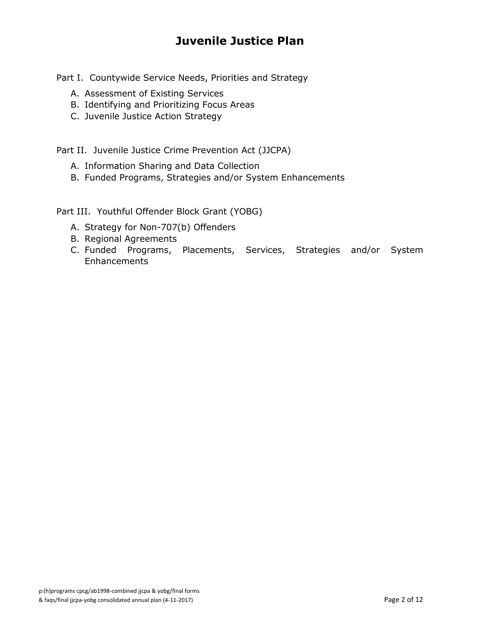## **Juvenile Justice Plan**

Part I. Countywide Service Needs, Priorities and Strategy

- A. Assessment of Existing Services
- B. Identifying and Prioritizing Focus Areas
- C. Juvenile Justice Action Strategy

Part II. Juvenile Justice Crime Prevention Act (JJCPA)

- A. Information Sharing and Data Collection
- B. Funded Programs, Strategies and/or System Enhancements

Part III. Youthful Offender Block Grant (YOBG)

- A. Strategy for Non-707(b) Offenders
- B. Regional Agreements
- C. Funded Programs, Placements, Services, Strategies and/or System **Enhancements**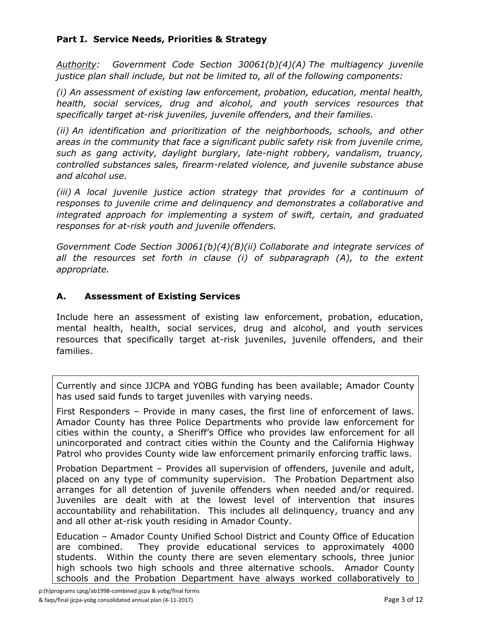#### **Part I. Service Needs, Priorities & Strategy**

*Authority: Government Code Section 30061(b)(4)(A) The multiagency juvenile justice plan shall include, but not be limited to, all of the following components:*

*(i) An assessment of existing law enforcement, probation, education, mental health, health, social services, drug and alcohol, and youth services resources that specifically target at-risk juveniles, juvenile offenders, and their families.*

*(ii) An identification and prioritization of the neighborhoods, schools, and other areas in the community that face a significant public safety risk from juvenile crime, such as gang activity, daylight burglary, late-night robbery, vandalism, truancy, controlled substances sales, firearm-related violence, and juvenile substance abuse and alcohol use.*

*(iii) A local juvenile justice action strategy that provides for a continuum of responses to juvenile crime and delinquency and demonstrates a collaborative and integrated approach for implementing a system of swift, certain, and graduated responses for at-risk youth and juvenile offenders.*

*Government Code Section 30061(b)(4)(B)(ii) Collaborate and integrate services of*  all the resources set forth in clause (i) of subparagraph (A), to the extent *appropriate.*

#### **A. Assessment of Existing Services**

Include here an assessment of existing law enforcement, probation, education, mental health, health, social services, drug and alcohol, and youth services resources that specifically target at-risk juveniles, juvenile offenders, and their families.

Currently and since JJCPA and YOBG funding has been available; Amador County has used said funds to target juveniles with varying needs.

First Responders – Provide in many cases, the first line of enforcement of laws. Amador County has three Police Departments who provide law enforcement for cities within the county, a Sheriff's Office who provides law enforcement for all unincorporated and contract cities within the County and the California Highway Patrol who provides County wide law enforcement primarily enforcing traffic laws.

Probation Department – Provides all supervision of offenders, juvenile and adult, placed on any type of community supervision. The Probation Department also arranges for all detention of juvenile offenders when needed and/or required. Juveniles are dealt with at the lowest level of intervention that insures accountability and rehabilitation. This includes all delinquency, truancy and any and all other at-risk youth residing in Amador County.

Education – Amador County Unified School District and County Office of Education are combined. They provide educational services to approximately 4000 students. Within the county there are seven elementary schools, three junior high schools two high schools and three alternative schools. Amador County schools and the Probation Department have always worked collaboratively to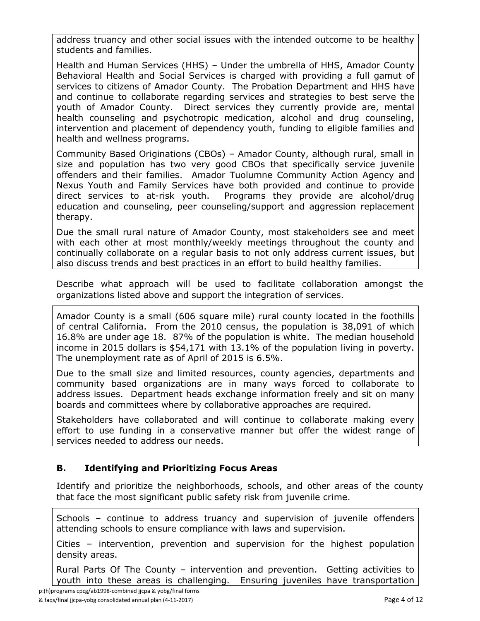address truancy and other social issues with the intended outcome to be healthy students and families.

Health and Human Services (HHS) – Under the umbrella of HHS, Amador County Behavioral Health and Social Services is charged with providing a full gamut of services to citizens of Amador County. The Probation Department and HHS have and continue to collaborate regarding services and strategies to best serve the youth of Amador County. Direct services they currently provide are, mental health counseling and psychotropic medication, alcohol and drug counseling, intervention and placement of dependency youth, funding to eligible families and health and wellness programs.

Community Based Originations (CBOs) – Amador County, although rural, small in size and population has two very good CBOs that specifically service juvenile offenders and their families. Amador Tuolumne Community Action Agency and Nexus Youth and Family Services have both provided and continue to provide direct services to at-risk youth. Programs they provide are alcohol/drug education and counseling, peer counseling/support and aggression replacement therapy.

Due the small rural nature of Amador County, most stakeholders see and meet with each other at most monthly/weekly meetings throughout the county and continually collaborate on a regular basis to not only address current issues, but also discuss trends and best practices in an effort to build healthy families.

Describe what approach will be used to facilitate collaboration amongst the organizations listed above and support the integration of services.

Amador County is a small (606 square mile) rural county located in the foothills of central California. From the 2010 census, the population is 38,091 of which 16.8% are under age 18. 87% of the population is white. The median household income in 2015 dollars is \$54,171 with 13.1% of the population living in poverty. The unemployment rate as of April of 2015 is 6.5%.

Due to the small size and limited resources, county agencies, departments and community based organizations are in many ways forced to collaborate to address issues. Department heads exchange information freely and sit on many boards and committees where by collaborative approaches are required.

Stakeholders have collaborated and will continue to collaborate making every effort to use funding in a conservative manner but offer the widest range of services needed to address our needs.

#### **B. Identifying and Prioritizing Focus Areas**

Identify and prioritize the neighborhoods, schools, and other areas of the county that face the most significant public safety risk from juvenile crime.

Schools – continue to address truancy and supervision of juvenile offenders attending schools to ensure compliance with laws and supervision.

Cities – intervention, prevention and supervision for the highest population density areas.

Rural Parts Of The County – intervention and prevention. Getting activities to youth into these areas is challenging. Ensuring juveniles have transportation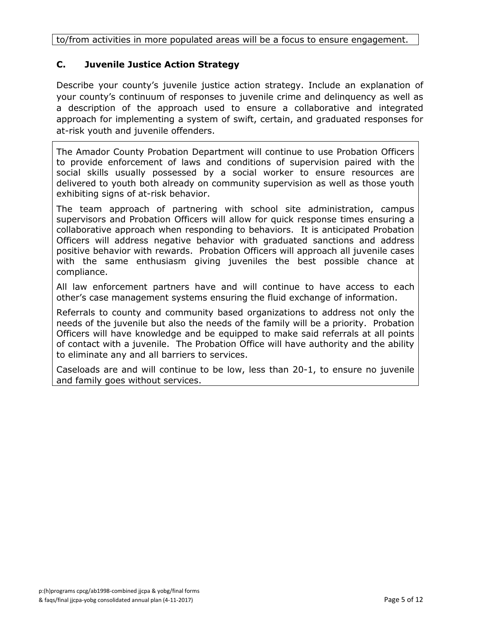to/from activities in more populated areas will be a focus to ensure engagement.

#### **C. Juvenile Justice Action Strategy**

Describe your county's juvenile justice action strategy. Include an explanation of your county's continuum of responses to juvenile crime and delinquency as well as a description of the approach used to ensure a collaborative and integrated approach for implementing a system of swift, certain, and graduated responses for at-risk youth and juvenile offenders.

The Amador County Probation Department will continue to use Probation Officers to provide enforcement of laws and conditions of supervision paired with the social skills usually possessed by a social worker to ensure resources are delivered to youth both already on community supervision as well as those youth exhibiting signs of at-risk behavior.

The team approach of partnering with school site administration, campus supervisors and Probation Officers will allow for quick response times ensuring a collaborative approach when responding to behaviors. It is anticipated Probation Officers will address negative behavior with graduated sanctions and address positive behavior with rewards. Probation Officers will approach all juvenile cases with the same enthusiasm giving juveniles the best possible chance at compliance.

All law enforcement partners have and will continue to have access to each other's case management systems ensuring the fluid exchange of information.

Referrals to county and community based organizations to address not only the needs of the juvenile but also the needs of the family will be a priority. Probation Officers will have knowledge and be equipped to make said referrals at all points of contact with a juvenile. The Probation Office will have authority and the ability to eliminate any and all barriers to services.

Caseloads are and will continue to be low, less than 20-1, to ensure no juvenile and family goes without services.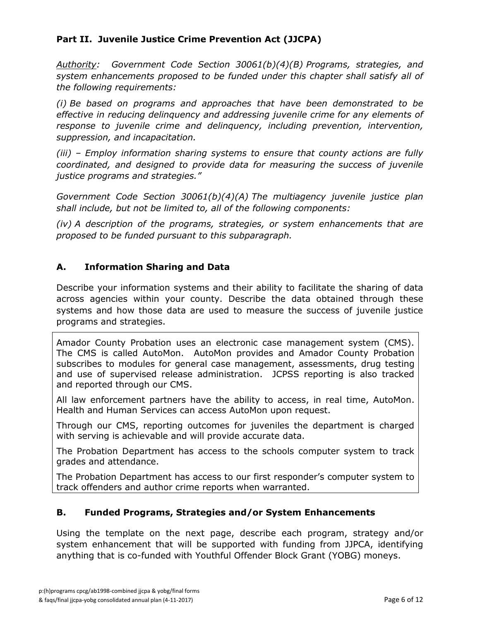#### **Part II. Juvenile Justice Crime Prevention Act (JJCPA)**

*Authority: Government Code Section 30061(b)(4)(B) Programs, strategies, and system enhancements proposed to be funded under this chapter shall satisfy all of the following requirements:*

*(i) Be based on programs and approaches that have been demonstrated to be effective in reducing delinquency and addressing juvenile crime for any elements of response to juvenile crime and delinquency, including prevention, intervention, suppression, and incapacitation.*

*(iii) – Employ information sharing systems to ensure that county actions are fully coordinated, and designed to provide data for measuring the success of juvenile justice programs and strategies."*

*Government Code Section 30061(b)(4)(A) The multiagency juvenile justice plan shall include, but not be limited to, all of the following components:*

*(iv) A description of the programs, strategies, or system enhancements that are proposed to be funded pursuant to this subparagraph.*

#### **A. Information Sharing and Data**

Describe your information systems and their ability to facilitate the sharing of data across agencies within your county. Describe the data obtained through these systems and how those data are used to measure the success of juvenile justice programs and strategies.

Amador County Probation uses an electronic case management system (CMS). The CMS is called AutoMon. AutoMon provides and Amador County Probation subscribes to modules for general case management, assessments, drug testing and use of supervised release administration. JCPSS reporting is also tracked and reported through our CMS.

All law enforcement partners have the ability to access, in real time, AutoMon. Health and Human Services can access AutoMon upon request.

Through our CMS, reporting outcomes for juveniles the department is charged with serving is achievable and will provide accurate data.

The Probation Department has access to the schools computer system to track grades and attendance.

The Probation Department has access to our first responder's computer system to track offenders and author crime reports when warranted.

#### **B. Funded Programs, Strategies and/or System Enhancements**

Using the template on the next page, describe each program, strategy and/or system enhancement that will be supported with funding from JJPCA, identifying anything that is co-funded with Youthful Offender Block Grant (YOBG) moneys.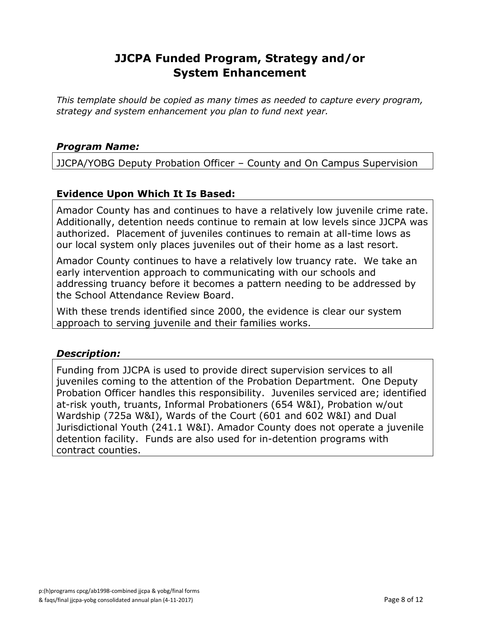### **JJCPA Funded Program, Strategy and/or System Enhancement**

*This template should be copied as many times as needed to capture every program, strategy and system enhancement you plan to fund next year.*

#### *Program Name:*

JJCPA/YOBG Deputy Probation Officer – County and On Campus Supervision

#### **Evidence Upon Which It Is Based:**

Amador County has and continues to have a relatively low juvenile crime rate. Additionally, detention needs continue to remain at low levels since JJCPA was authorized. Placement of juveniles continues to remain at all-time lows as our local system only places juveniles out of their home as a last resort.

Amador County continues to have a relatively low truancy rate. We take an early intervention approach to communicating with our schools and addressing truancy before it becomes a pattern needing to be addressed by the School Attendance Review Board.

With these trends identified since 2000, the evidence is clear our system approach to serving juvenile and their families works.

#### *Description:*

Funding from JJCPA is used to provide direct supervision services to all juveniles coming to the attention of the Probation Department. One Deputy Probation Officer handles this responsibility. Juveniles serviced are; identified at-risk youth, truants, Informal Probationers (654 W&I), Probation w/out Wardship (725a W&I), Wards of the Court (601 and 602 W&I) and Dual Jurisdictional Youth (241.1 W&I). Amador County does not operate a juvenile detention facility. Funds are also used for in-detention programs with contract counties.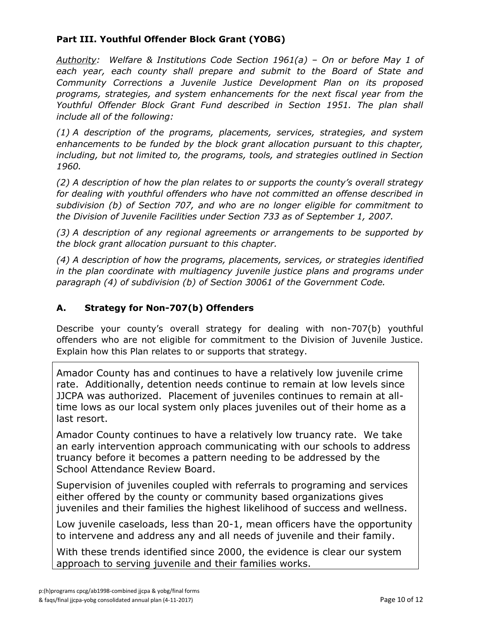#### **Part III. Youthful Offender Block Grant (YOBG)**

*Authority: Welfare & Institutions Code Section 1961(a) – On or before May 1 of each year, each county shall prepare and submit to the Board of State and Community Corrections a Juvenile Justice Development Plan on its proposed programs, strategies, and system enhancements for the next fiscal year from the Youthful Offender Block Grant Fund described in Section 1951. The plan shall include all of the following:*

*(1) A description of the programs, placements, services, strategies, and system enhancements to be funded by the block grant allocation pursuant to this chapter, including, but not limited to, the programs, tools, and strategies outlined in Section 1960.*

*(2) A description of how the plan relates to or supports the county's overall strategy for dealing with youthful offenders who have not committed an offense described in subdivision (b) of Section 707, and who are no longer eligible for commitment to the Division of Juvenile Facilities under Section 733 as of September 1, 2007.*

*(3) A description of any regional agreements or arrangements to be supported by the block grant allocation pursuant to this chapter.*

*(4) A description of how the programs, placements, services, or strategies identified in the plan coordinate with multiagency juvenile justice plans and programs under paragraph (4) of subdivision (b) of Section 30061 of the Government Code.*

#### **A. Strategy for Non-707(b) Offenders**

Describe your county's overall strategy for dealing with non-707(b) youthful offenders who are not eligible for commitment to the Division of Juvenile Justice. Explain how this Plan relates to or supports that strategy.

Amador County has and continues to have a relatively low juvenile crime rate. Additionally, detention needs continue to remain at low levels since JJCPA was authorized. Placement of juveniles continues to remain at alltime lows as our local system only places juveniles out of their home as a last resort.

Amador County continues to have a relatively low truancy rate. We take an early intervention approach communicating with our schools to address truancy before it becomes a pattern needing to be addressed by the School Attendance Review Board.

Supervision of juveniles coupled with referrals to programing and services either offered by the county or community based organizations gives juveniles and their families the highest likelihood of success and wellness.

Low juvenile caseloads, less than 20-1, mean officers have the opportunity to intervene and address any and all needs of juvenile and their family.

With these trends identified since 2000, the evidence is clear our system approach to serving juvenile and their families works.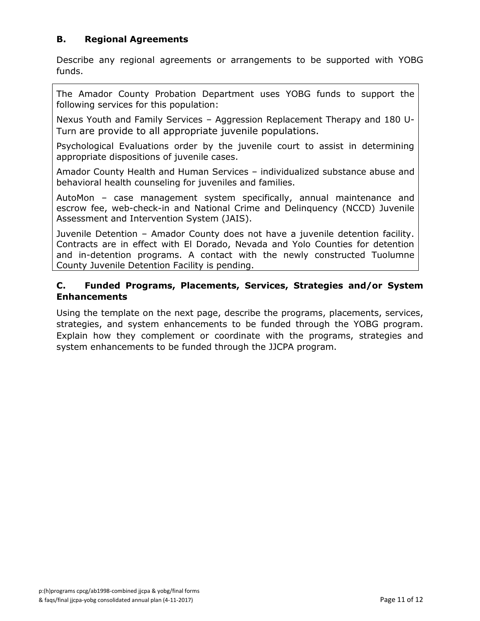#### **B. Regional Agreements**

Describe any regional agreements or arrangements to be supported with YOBG funds.

The Amador County Probation Department uses YOBG funds to support the following services for this population:

Nexus Youth and Family Services – Aggression Replacement Therapy and 180 U-Turn are provide to all appropriate juvenile populations.

Psychological Evaluations order by the juvenile court to assist in determining appropriate dispositions of juvenile cases.

Amador County Health and Human Services – individualized substance abuse and behavioral health counseling for juveniles and families.

AutoMon – case management system specifically, annual maintenance and escrow fee, web-check-in and National Crime and Delinquency (NCCD) Juvenile Assessment and Intervention System (JAIS).

Juvenile Detention – Amador County does not have a juvenile detention facility. Contracts are in effect with El Dorado, Nevada and Yolo Counties for detention and in-detention programs. A contact with the newly constructed Tuolumne County Juvenile Detention Facility is pending.

#### **C. Funded Programs, Placements, Services, Strategies and/or System Enhancements**

Using the template on the next page, describe the programs, placements, services, strategies, and system enhancements to be funded through the YOBG program. Explain how they complement or coordinate with the programs, strategies and system enhancements to be funded through the JJCPA program.